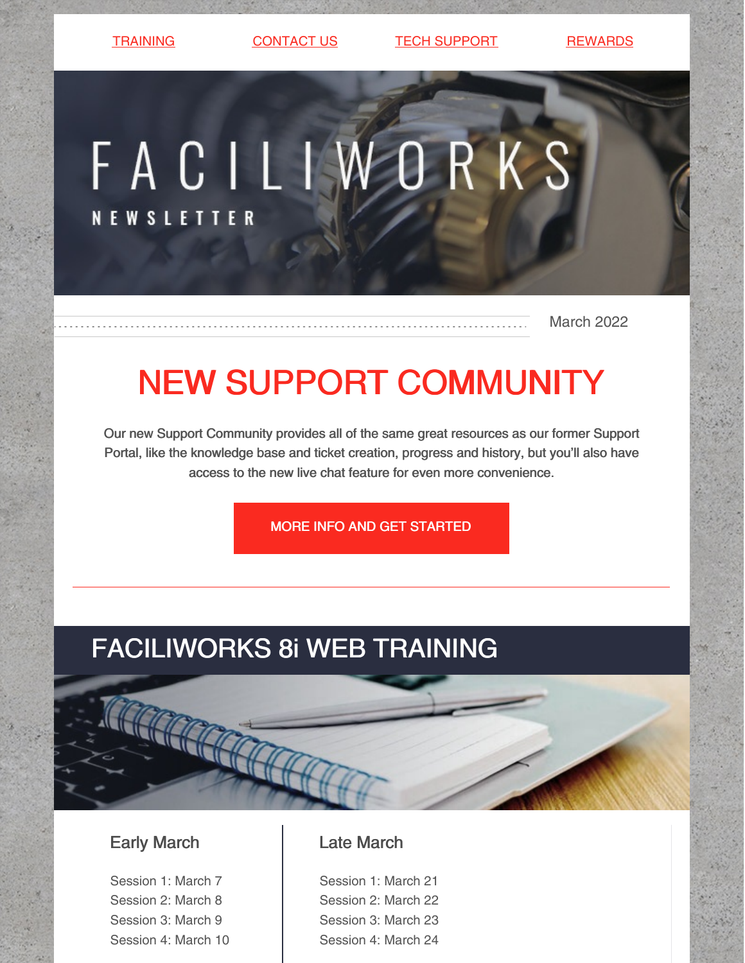[TRAINING](https://faciliworks.com/training-schedule/) [CONTACT](https://faciliworks.com/contact-us/) US CONTECH [SUPPORT](https://faciliworks.com/support/) [REWARDS](https://cybermetrics.com/referral-rewards/)

# FACILIWORKS **NEWSLETTER**

March 2022

## NEW SUPPORT COMMUNITY

Our new Support Community provides all of the same great resources as our former Support Portal, like the knowledge base and ticket creation, progress and history, but you'll also have access to the new live chat feature for even more convenience.

MORE INFO AND GET [STARTED](https://faciliworks.com/support/#community)

## FACILIWORKS 8i WEB TRAINING

#### Early March

Session 1: March 7 Session 2: March 8 Session 3: March 9 Session 4: March 10

#### Late March

Session 1: March 21 Session 2: March 22 Session 3: March 23 Session 4: March 24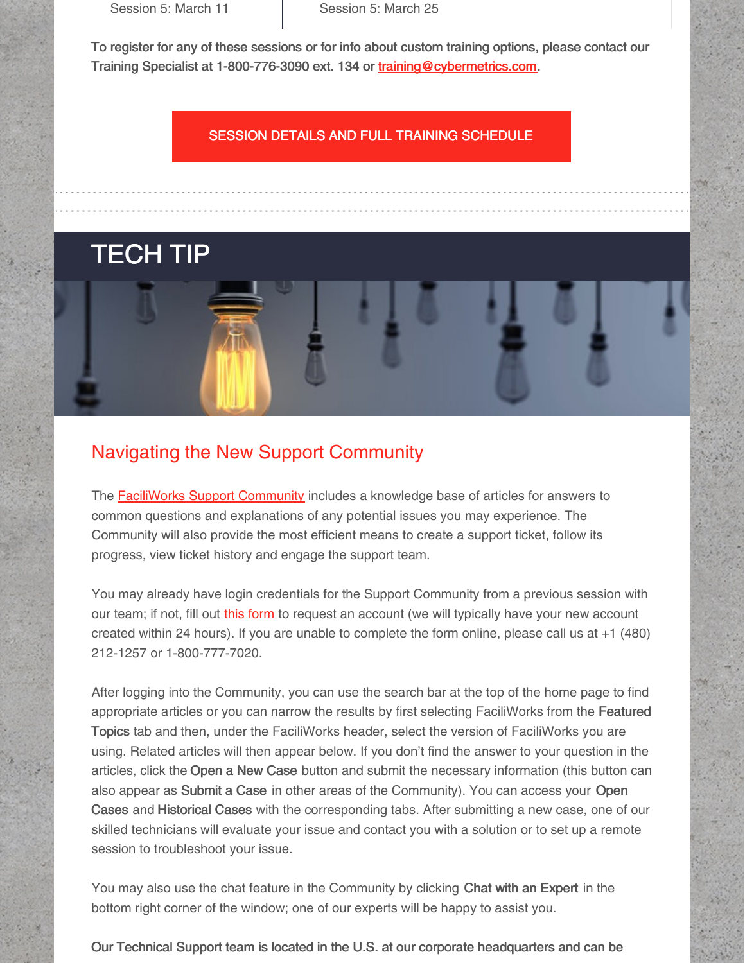Session 5: March 11 **Session 5: March 25** 

To register for any of these sessions or for info about custom training options, please contact our Training Specialist at 1-800-776-3090 ext. 134 or [training@cybermetrics.com.](mailto:training@cybermetrics.com)

#### SESSION DETAILS AND FULL TRAINING [SCHEDULE](https://faciliworks.com/training-schedule/#web_training)

### TECH TIP



The [FaciliWorks](https://cybermetricscommunity.force.com/customer/s/) Support Community includes a knowledge base of articles for answers to common questions and explanations of any potential issues you may experience. The Community will also provide the most efficient means to create a support ticket, follow its progress, view ticket history and engage the support team.

You may already have login credentials for the Support Community from a previous session with our team; if not, fill out *this [form](https://faciliworks.com/support-community-account-request/)* to request an account (we will typically have your new account created within 24 hours). If you are unable to complete the form online, please call us at +1 (480) 212-1257 or 1-800-777-7020.

After logging into the Community, you can use the search bar at the top of the home page to find appropriate articles or you can narrow the results by first selecting FaciliWorks from the Featured Topics tab and then, under the FaciliWorks header, select the version of FaciliWorks you are using. Related articles will then appear below. If you don't find the answer to your question in the articles, click the Open a New Case button and submit the necessary information (this button can also appear as Submit a Case in other areas of the Community). You can access your Open Cases and Historical Cases with the corresponding tabs. After submitting a new case, one of our skilled technicians will evaluate your issue and contact you with a solution or to set up a remote session to troubleshoot your issue.

You may also use the chat feature in the Community by clicking Chat with an Expert in the bottom right corner of the window; one of our experts will be happy to assist you.

Our Technical Support team is located in the U.S. at our corporate headquarters and can be